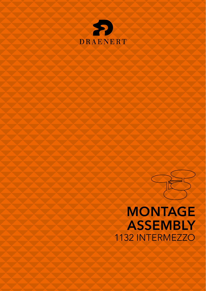



# **MONTAGE ASSEMBLY** 1132 INTERMEZZO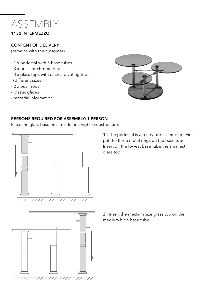

## CONTENT OF DELIVERY

(remains with the customer)

- 1 x pedestal with 3 base tubes
- 3 x brass or chrome rings
- 3 x glass tops with each a pivoting tube (different sizes)
- 2 x push rods
- plastic glides
- material information



# PERSONS REQUIRED FOR ASSEMBLY: 1 PERSON

Place the glass base on a trestle or a higher substructure.



1 I The pedestal is already pre-assembled. First put the three metal rings on the base tubes. Insert on the lowest base tube the smallest glass top.



2 I Insert the medium size glass top on the medium high base tube.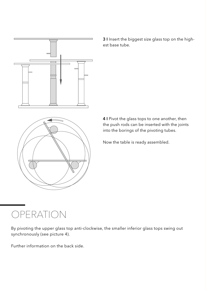

3 I Insert the biggest size glass top on the highest base tube.

4 I Pivot the glass tops to one another, then the push rods can be inserted with the joints into the borings of the pivoting tubes.

Now the table is ready assembled.

# OPERATION

By pivoting the upper glass top anti-clockwise, the smaller inferior glass tops swing out synchronously (see picture 4).

Further information on the back side.